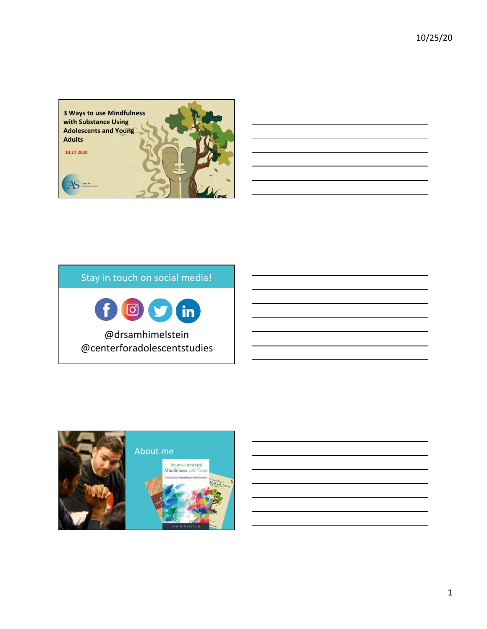



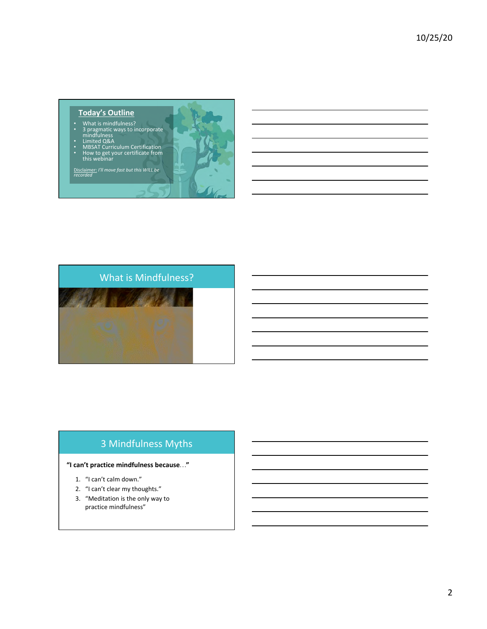### **Today's Outline**

- What is mindfulness?<br>• 3 pragmatic ways to incorporate
- 
- 
- mindfulness<br>• Limited Q&A<br>• MBSAT Curriculum Certification<br>• How to get your certificate from<br>this webinar

Disclaimer: *I'll move fast but this WILL be*<br>*recorded* 





# 3 Mindfulness Myths

### **"I can't practice mindfulness because…"**

- 1. "I can't calm down."
- 2. "I can't clear my thoughts."
- 3. "Meditation is the only way to practice mindfulness"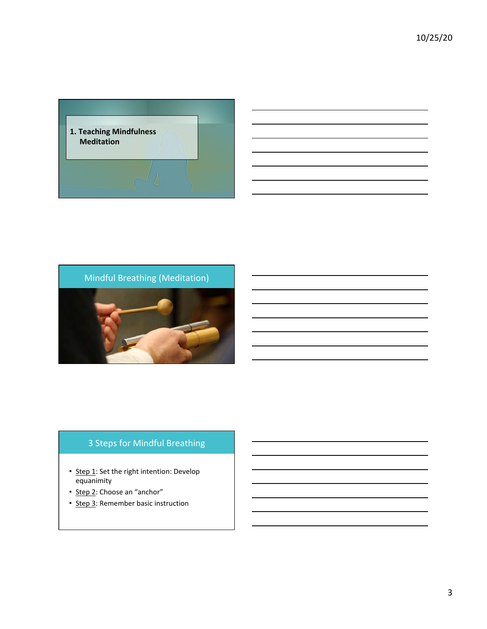



# 3 Steps for Mindful Breathing

- Step 1: Set the right intention: Develop equanimity
- Step 2: Choose an "anchor"
- Step 3: Remember basic instruction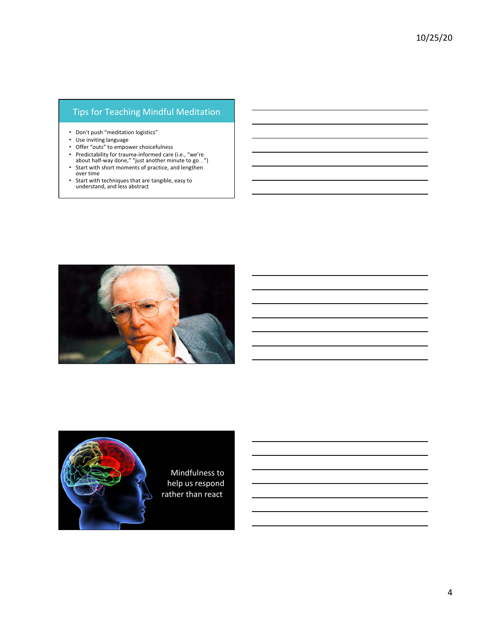# Tips for Teaching Mindful Meditation

- Don't push "meditation logistics"
- $\bullet$  Use inviting language
- Offer "outs" to empower choicefulness
- Predictability for trauma-informed care (i.e., "we're about half-way done," "just another minute to go...")
- Start with short moments of practice, and lengthen
- over time
- Start with techniques that are tangible, easy to understand, and less abstract



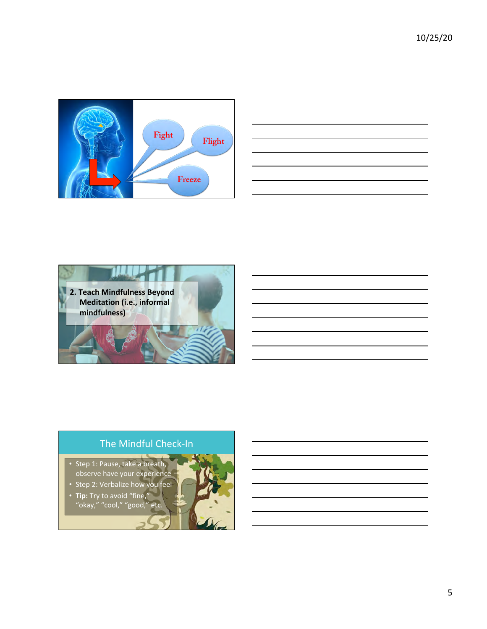

|  |  | ___                                                                                     |
|--|--|-----------------------------------------------------------------------------------------|
|  |  |                                                                                         |
|  |  | $\mathcal{L}^{\text{max}}_{\text{max}}$ , where $\mathcal{L}^{\text{max}}_{\text{max}}$ |
|  |  |                                                                                         |
|  |  |                                                                                         |
|  |  |                                                                                         |
|  |  |                                                                                         |



# The Mindful Check-In

• Step 1: Pause, take a breath, observe have your experience

• Step 2: Verbalize how you feel

Tip: Try to avoid "fine," "okay," "cool," "good," etc.

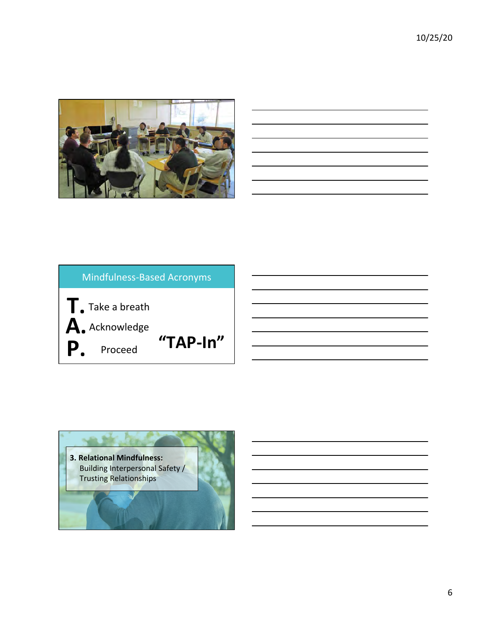10/25/20 





<u> 1980 - Johann Barbara, martxa amerikan per</u> <u> 1989 - Johann Barn, mars eta bainar e</u>

| <b>Mindfulness-Based Acronyms</b> |  |  |  |  |
|-----------------------------------|--|--|--|--|
| "TAP- $In$ "                      |  |  |  |  |
|                                   |  |  |  |  |

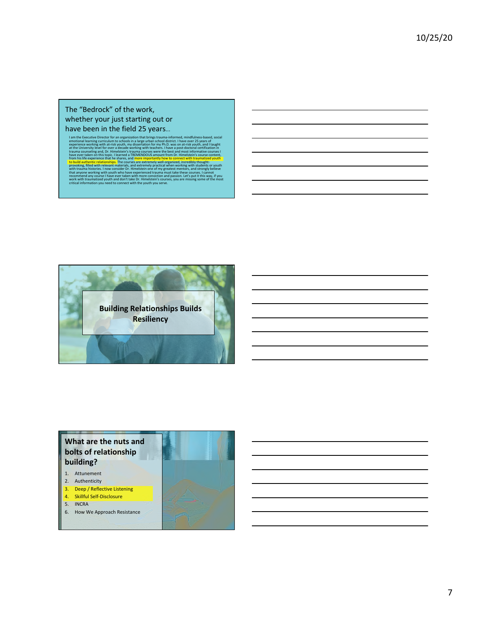### The "Bedrock" of the work, whether your just starting out or have been in the field 25 years...

I am the Executive Direction of a organization that brings trauma-informed, mindfulness-based, social<br>emotional learning curriculum to schools in a large urban school district. I have over 25 years of<br>experience working wi



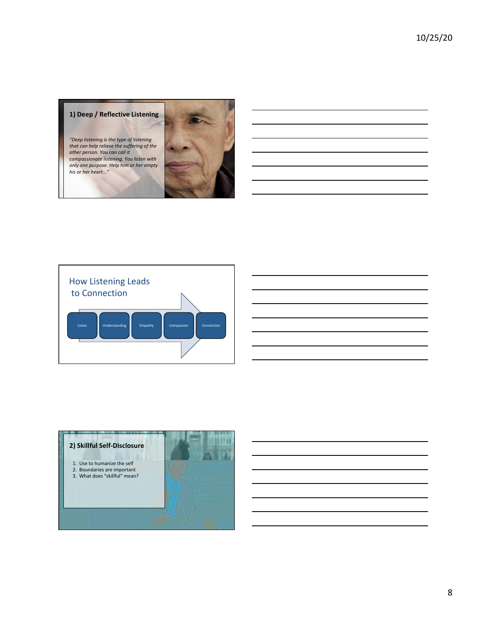10/25/20 

### **1) Deep / Reflective Listening**

*"Deep listening is the type of listening that can help relieve the suffering of the*  other person. You can call it *compassionate listening. You listen with*  only one purpose. Help him or her empty his or her heart..."





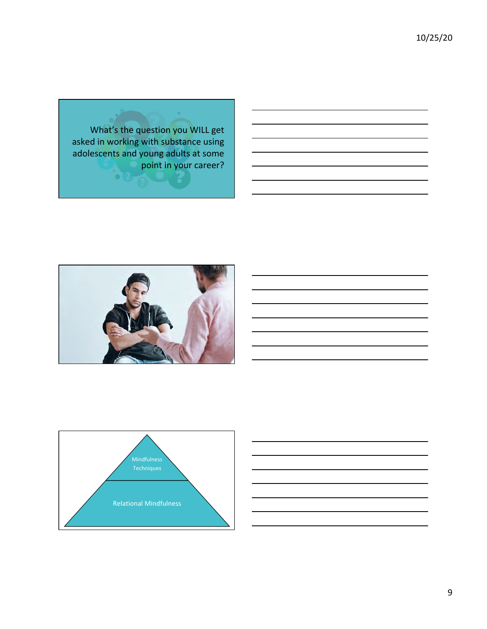10/25/20 

What's the question you WILL get asked in working with substance using adolescents and young adults at some point in your career?





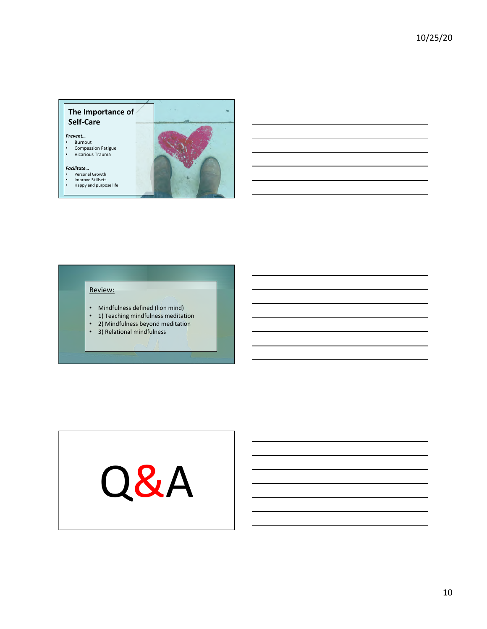### **The Importance of Self-Care**

*Prevent…* 

- Burnout • Compassion Fatigue
- Vicarious Trauma

### *Facilitate…*

- Personal Growth • Improve Skillsets
- Happy and purpose life



## Review:

- Mindfulness defined (lion mind)
- 1) Teaching mindfulness meditation
- 2) Mindfulness beyond meditation
- 3) Relational mindfulness

# Q&A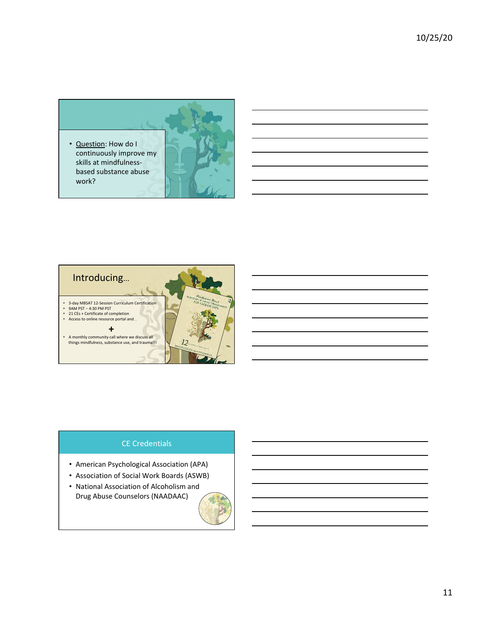• Question: How do I continuously improve my skills at mindfulnessbased substance abuse work?





# CE Credentials

- American Psychological Association (APA)
- Association of Social Work Boards (ASWB)
- National Association of Alcoholism and Drug Abuse Counselors (NAADAAC)